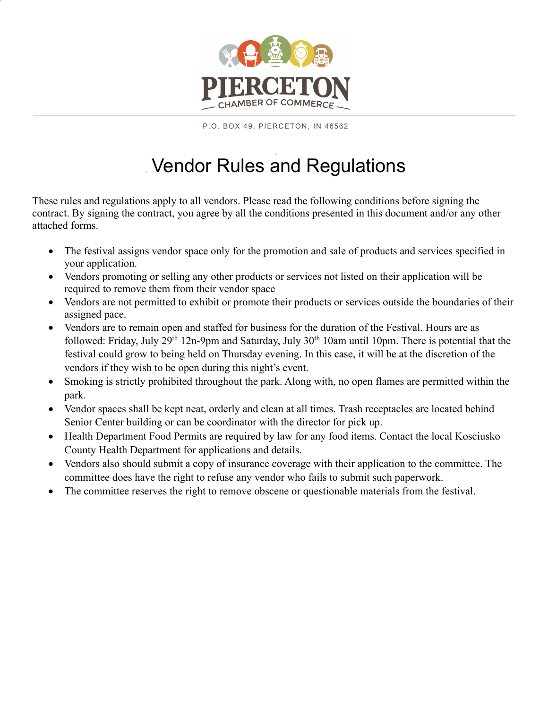

P.O. BOX 49, PIERCETON, IN 46562

## Vendor Rules and Regulations

These rules and regulations apply to all vendors. Please read the following conditions before signing the contract. By signing the contract, you agree by all the conditions presented in this document and/or any other attached forms.

- The festival assigns vendor space only for the promotion and sale of products and services specified in your application.
- Vendors promoting or selling any other products or services not listed on their application will be required to remove them from their vendor space
- Vendors are not permitted to exhibit or promote their products or services outside the boundaries of their assigned pace.
- Vendors are to remain open and staffed for business for the duration of the Festival. Hours are as followed: Friday, July 29<sup>th</sup> 12n-9pm and Saturday, July 30<sup>th</sup> 10am until 10pm. There is potential that the festival could grow to being held on Thursday evening. In this case, it will be at the discretion of the vendors if they wish to be open during this night's event.
- Smoking is strictly prohibited throughout the park. Along with, no open flames are permitted within the park.
- Vendor spaces shall be kept neat, orderly and clean at all times. Trash receptacles are located behind Senior Center building or can be coordinator with the director for pick up.
- Health Department Food Permits are required by law for any food items. Contact the local Kosciusko County Health Department for applications and details.
- Vendors also should submit a copy of insurance coverage with their application to the committee. The committee does have the right to refuse any vendor who fails to submit such paperwork.
- The committee reserves the right to remove obscene or questionable materials from the festival.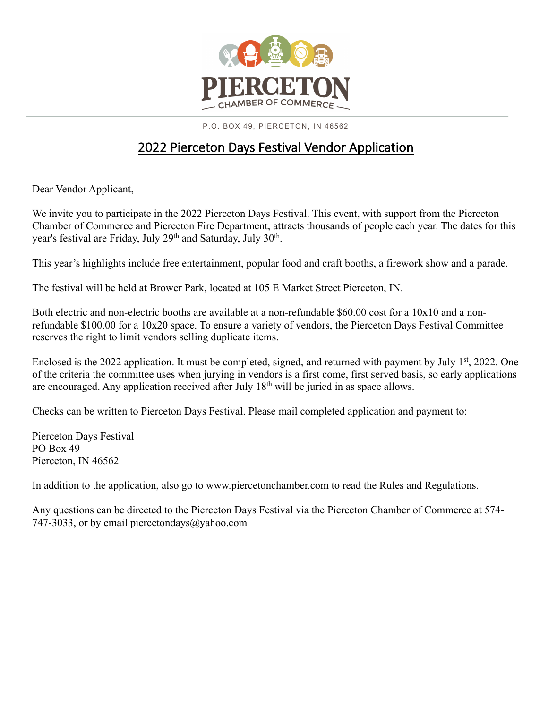

P.O. BOX 49, PIERCETON, IN 46562

## 2022 Pierceton Days Festival Vendor Application

Dear Vendor Applicant,

We invite you to participate in the 2022 Pierceton Days Festival. This event, with support from the Pierceton Chamber of Commerce and Pierceton Fire Department, attracts thousands of people each year. The dates for this year's festival are Friday, July 29<sup>th</sup> and Saturday, July 30<sup>th</sup>.

This year's highlights include free entertainment, popular food and craft booths, a firework show and a parade.

The festival will be held at Brower Park, located at 105 E Market Street Pierceton, IN.

Both electric and non-electric booths are available at a non-refundable \$60.00 cost for a 10x10 and a nonrefundable \$100.00 for a 10x20 space. To ensure a variety of vendors, the Pierceton Days Festival Committee reserves the right to limit vendors selling duplicate items.

Enclosed is the 2022 application. It must be completed, signed, and returned with payment by July 1<sup>st</sup>, 2022. One of the criteria the committee uses when jurying in vendors is a first come, first served basis, so early applications are encouraged. Any application received after July 18th will be juried in as space allows.

Checks can be written to Pierceton Days Festival. Please mail completed application and payment to:

Pierceton Days Festival PO Box 49 Pierceton, IN 46562

In addition to the application, also go to www.piercetonchamber.com to read the Rules and Regulations.

Any questions can be directed to the Pierceton Days Festival via the Pierceton Chamber of Commerce at 574- 747-3033, or by email piercetondays@yahoo.com